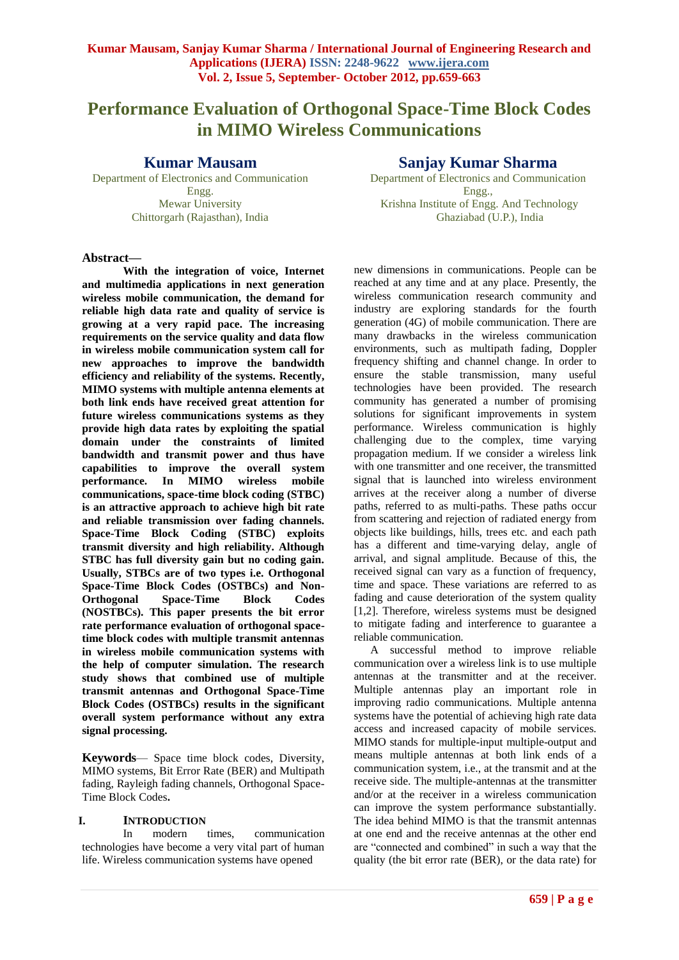# **Performance Evaluation of Orthogonal Space-Time Block Codes in MIMO Wireless Communications**

### **Kumar Mausam**

Department of Electronics and Communication Engg. Mewar University Chittorgarh (Rajasthan), India

## **Sanjay Kumar Sharma**

Department of Electronics and Communication Engg., Krishna Institute of Engg. And Technology Ghaziabad (U.P.), India

### **Abstract—**

**With the integration of voice, Internet and multimedia applications in next generation wireless mobile communication, the demand for reliable high data rate and quality of service is growing at a very rapid pace. The increasing requirements on the service quality and data flow in wireless mobile communication system call for new approaches to improve the bandwidth efficiency and reliability of the systems. Recently, MIMO systems with multiple antenna elements at both link ends have received great attention for future wireless communications systems as they provide high data rates by exploiting the spatial domain under the constraints of limited bandwidth and transmit power and thus have capabilities to improve the overall system performance. In MIMO wireless mobile communications, space-time block coding (STBC) is an attractive approach to achieve high bit rate and reliable transmission over fading channels. Space-Time Block Coding (STBC) exploits transmit diversity and high reliability. Although STBC has full diversity gain but no coding gain. Usually, STBCs are of two types i.e. Orthogonal Space-Time Block Codes (OSTBCs) and Non-Orthogonal Space-Time Block Codes (NOSTBCs). This paper presents the bit error rate performance evaluation of orthogonal spacetime block codes with multiple transmit antennas in wireless mobile communication systems with the help of computer simulation. The research study shows that combined use of multiple transmit antennas and Orthogonal Space-Time Block Codes (OSTBCs) results in the significant overall system performance without any extra signal processing.**

**Keywords**— Space time block codes, Diversity, MIMO systems, Bit Error Rate (BER) and Multipath fading, Rayleigh fading channels, Orthogonal Space-Time Block Codes**.**

### **I. INTRODUCTION**

In modern times, communication technologies have become a very vital part of human life. Wireless communication systems have opened

new dimensions in communications. People can be reached at any time and at any place. Presently, the wireless communication research community and industry are exploring standards for the fourth generation (4G) of mobile communication. There are many drawbacks in the wireless communication environments, such as multipath fading, Doppler frequency shifting and channel change. In order to ensure the stable transmission, many useful technologies have been provided. The research community has generated a number of promising solutions for significant improvements in system performance. Wireless communication is highly challenging due to the complex, time varying propagation medium. If we consider a wireless link with one transmitter and one receiver, the transmitted signal that is launched into wireless environment arrives at the receiver along a number of diverse paths, referred to as multi-paths. These paths occur from scattering and rejection of radiated energy from objects like buildings, hills, trees etc. and each path has a different and time-varying delay, angle of arrival, and signal amplitude. Because of this, the received signal can vary as a function of frequency, time and space. These variations are referred to as fading and cause deterioration of the system quality [1,2]. Therefore, wireless systems must be designed to mitigate fading and interference to guarantee a reliable communication.

A successful method to improve reliable communication over a wireless link is to use multiple antennas at the transmitter and at the receiver. Multiple antennas play an important role in improving radio communications. Multiple antenna systems have the potential of achieving high rate data access and increased capacity of mobile services. MIMO stands for multiple-input multiple-output and means multiple antennas at both link ends of a communication system, i.e., at the transmit and at the receive side. The multiple-antennas at the transmitter and/or at the receiver in a wireless communication can improve the system performance substantially. The idea behind MIMO is that the transmit antennas at one end and the receive antennas at the other end are "connected and combined" in such a way that the quality (the bit error rate (BER), or the data rate) for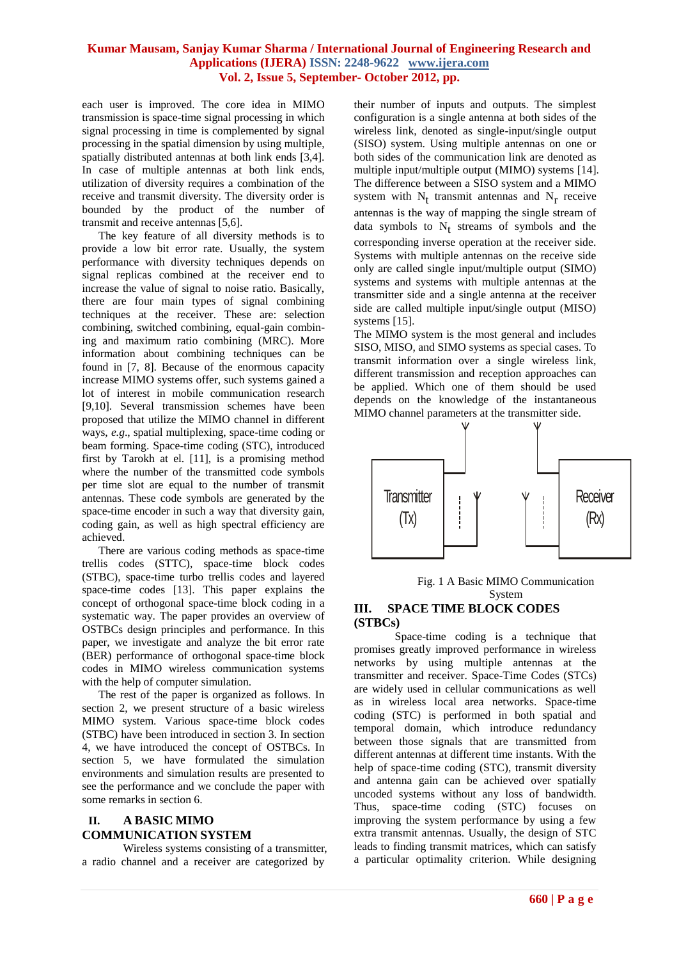each user is improved. The core idea in MIMO transmission is space-time signal processing in which signal processing in time is complemented by signal processing in the spatial dimension by using multiple, spatially distributed antennas at both link ends [3,4]. In case of multiple antennas at both link ends, utilization of diversity requires a combination of the receive and transmit diversity. The diversity order is bounded by the product of the number of transmit and receive antennas [5,6].

The key feature of all diversity methods is to provide a low bit error rate. Usually, the system performance with diversity techniques depends on signal replicas combined at the receiver end to increase the value of signal to noise ratio. Basically, there are four main types of signal combining techniques at the receiver. These are: selection combining, switched combining, equal-gain combining and maximum ratio combining (MRC). More information about combining techniques can be found in [7, 8]. Because of the enormous capacity increase MIMO systems offer, such systems gained a lot of interest in mobile communication research [9,10]. Several transmission schemes have been proposed that utilize the MIMO channel in different ways, *e.g*., spatial multiplexing, space-time coding or beam forming. Space-time coding (STC), introduced first by Tarokh at el. [11], is a promising method where the number of the transmitted code symbols per time slot are equal to the number of transmit antennas. These code symbols are generated by the space-time encoder in such a way that diversity gain, coding gain, as well as high spectral efficiency are achieved.

There are various coding methods as space-time trellis codes (STTC), space-time block codes (STBC), space-time turbo trellis codes and layered space-time codes [13]. This paper explains the concept of orthogonal space-time block coding in a systematic way. The paper provides an overview of OSTBCs design principles and performance. In this paper, we investigate and analyze the bit error rate (BER) performance of orthogonal space-time block codes in MIMO wireless communication systems with the help of computer simulation.

The rest of the paper is organized as follows. In section 2, we present structure of a basic wireless MIMO system. Various space-time block codes (STBC) have been introduced in section 3. In section 4, we have introduced the concept of OSTBCs. In section 5, we have formulated the simulation environments and simulation results are presented to see the performance and we conclude the paper with some remarks in section 6.

### **II. A BASIC MIMO COMMUNICATION SYSTEM**

Wireless systems consisting of a transmitter, a radio channel and a receiver are categorized by

their number of inputs and outputs. The simplest configuration is a single antenna at both sides of the wireless link, denoted as single-input/single output (SISO) system. Using multiple antennas on one or both sides of the communication link are denoted as multiple input/multiple output (MIMO) systems [14]. The difference between a SISO system and a MIMO system with  $N_t$  transmit antennas and  $N_r$  receive antennas is the way of mapping the single stream of data symbols to  $N_t$  streams of symbols and the corresponding inverse operation at the receiver side. Systems with multiple antennas on the receive side only are called single input/multiple output (SIMO) systems and systems with multiple antennas at the transmitter side and a single antenna at the receiver side are called multiple input/single output (MISO) systems [15].

The MIMO system is the most general and includes SISO, MISO, and SIMO systems as special cases. To transmit information over a single wireless link, different transmission and reception approaches can be applied. Which one of them should be used depends on the knowledge of the instantaneous MIMO channel parameters at the transmitter side.



Fig. 1 A Basic MIMO Communication System

### **III. SPACE TIME BLOCK CODES (STBCs)**

Space-time coding is a technique that promises greatly improved performance in wireless networks by using multiple antennas at the transmitter and receiver. Space-Time Codes (STCs) are widely used in cellular communications as well as in wireless local area networks. Space-time coding (STC) is performed in both spatial and temporal domain, which introduce redundancy between those signals that are transmitted from different antennas at different time instants. With the help of space-time coding (STC), transmit diversity and antenna gain can be achieved over spatially uncoded systems without any loss of bandwidth. Thus, space-time coding (STC) focuses on improving the system performance by using a few extra transmit antennas. Usually, the design of STC leads to finding transmit matrices, which can satisfy a particular optimality criterion. While designing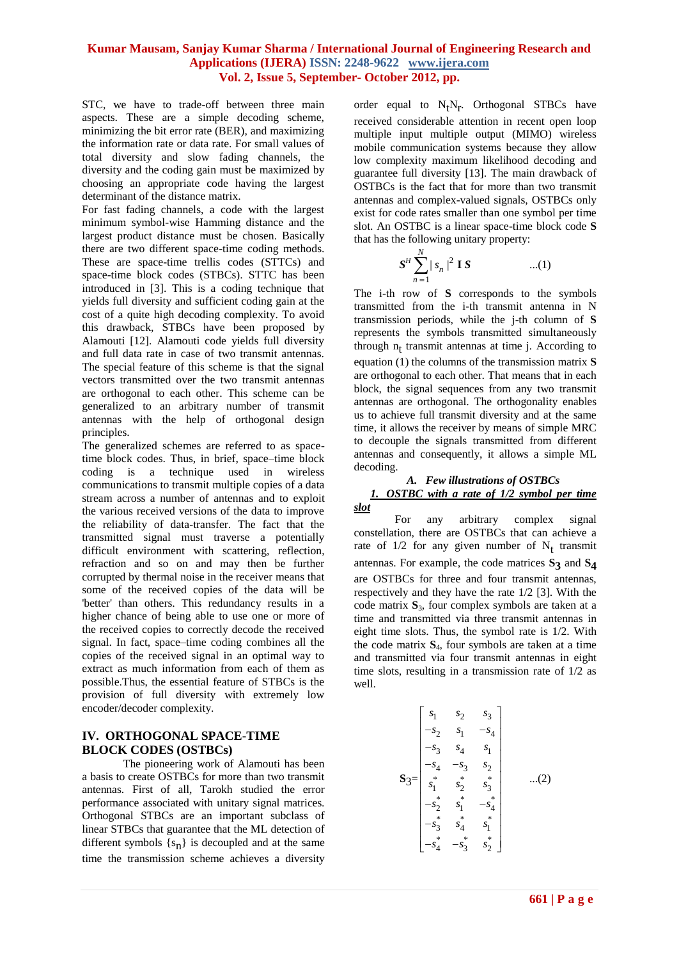STC, we have to trade-off between three main aspects. These are a simple decoding scheme, minimizing the bit error rate (BER), and maximizing the information rate or data rate. For small values of total diversity and slow fading channels, the diversity and the coding gain must be maximized by choosing an appropriate code having the largest determinant of the distance matrix.

For fast fading channels, a code with the largest minimum symbol-wise Hamming distance and the largest product distance must be chosen. Basically there are two different space-time coding methods. These are space-time trellis codes (STTCs) and space-time block codes (STBCs). STTC has been introduced in [3]. This is a coding technique that yields full diversity and sufficient coding gain at the cost of a quite high decoding complexity. To avoid this drawback, STBCs have been proposed by Alamouti [12]. Alamouti code yields full diversity and full data rate in case of two transmit antennas. The special feature of this scheme is that the signal vectors transmitted over the two transmit antennas are orthogonal to each other. This scheme can be generalized to an arbitrary number of transmit antennas with the help of orthogonal design principles.

The generalized schemes are referred to as spacetime block codes. Thus, in brief, space–time block coding is a technique used in [wireless](http://en.wikipedia.org/wiki/Wireless)  [communications](http://en.wikipedia.org/wiki/Wireless) to transmit multiple copies of a data stream across a number of [antennas](http://en.wikipedia.org/wiki/Antenna_(radio)) and to exploit the various received versions of the data to improve the reliability of data-transfer. The fact that the transmitted signal must traverse a potentially difficult environment with [scattering,](http://en.wikipedia.org/wiki/Scattering) [reflection,](http://en.wikipedia.org/wiki/Reflection_(physics))  [refraction](http://en.wikipedia.org/wiki/Refraction) and so on and may then be further corrupted by [thermal noise](http://en.wikipedia.org/wiki/Thermal_noise) in the [receiver](http://en.wikipedia.org/wiki/Receiver_(radio)) means that some of the received copies of the data will be 'better' than others. This redundancy results in a higher chance of being able to use one or more of the received copies to correctly decode the received signal. In fact, [space–time coding](http://en.wikipedia.org/wiki/Space%E2%80%93time_code) combines all the copies of the received signal in an optimal way to extract as much information from each of them as possible.Thus, the essential feature of STBCs is the provision of full diversity with extremely low encoder/decoder complexity.

#### **IV. ORTHOGONAL SPACE-TIME BLOCK CODES (OSTBCs)**

The pioneering work of Alamouti has been a basis to create OSTBCs for more than two transmit antennas. First of all, Tarokh studied the error performance associated with unitary signal matrices. Orthogonal STBCs are an important subclass of linear STBCs that guarantee that the ML detection of different symbols  $\{s_n\}$  is decoupled and at the same time the transmission scheme achieves a diversity

order equal to  $N_tN_r$ . Orthogonal STBCs have received considerable attention in recent open loop multiple input multiple output (MIMO) wireless mobile communication systems because they allow low complexity maximum likelihood decoding and guarantee full diversity [13]. The main drawback of OSTBCs is the fact that for more than two transmit antennas and complex-valued signals, OSTBCs only exist for code rates smaller than one symbol per time slot. An OSTBC is a linear space-time block code **S** that has the following unitary property:

$$
S^H \sum_{n=1}^{N} |s_n|^2 \mathbf{I} S \qquad \qquad ...(1)
$$

The i-th row of **S** corresponds to the symbols transmitted from the i-th transmit antenna in N transmission periods, while the j-th column of **S** represents the symbols transmitted simultaneously through  $n_t$  transmit antennas at time j. According to equation (1) the columns of the transmission matrix **S** are orthogonal to each other. That means that in each block, the signal sequences from any two transmit antennas are orthogonal. The orthogonality enables us to achieve full transmit diversity and at the same time, it allows the receiver by means of simple MRC to decouple the signals transmitted from different antennas and consequently, it allows a simple ML decoding.

### *A. Few illustrations of OSTBCs 1. OSTBC with a rate of 1/2 symbol per time slot*

For any arbitrary complex signal constellation, there are OSTBCs that can achieve a rate of  $1/2$  for any given number of  $N_t$  transmit antennas. For example, the code matrices **S3** and **S4** are OSTBCs for three and four transmit antennas, respectively and they have the rate 1/2 [3]. With the code matrix **S**3, four complex symbols are taken at a time and transmitted via three transmit antennas in eight time slots. Thus, the symbol rate is 1/2. With the code matrix **S**4, four symbols are taken at a time and transmitted via four transmit antennas in eight time slots, resulting in a transmission rate of 1/2 as well.

$$
\mathbf{S}_3 = \begin{bmatrix} s_1 & s_2 & s_3 \\ -s_2 & s_1 & -s_4 \\ -s_3 & s_4 & s_1 \\ -s_4 & -s_3 & s_2 \\ s_1^* & s_2^* & s_3^* \\ -s_2^* & s_1^* & -s_4^* \\ -s_3^* & s_4^* & s_1^* \\ -s_4^* & -s_3^* & s_2^* \end{bmatrix} \qquad \dots (2)
$$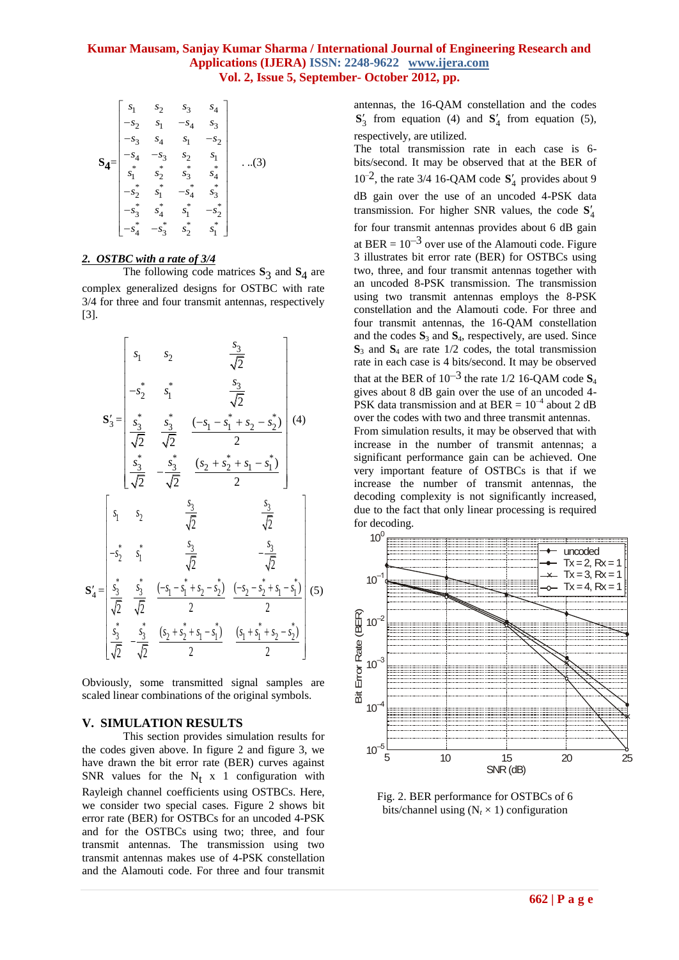$$
\mathbf{S}_{4} = \begin{bmatrix} s_{1} & s_{2} & s_{3} & s_{4} \\ -s_{2} & s_{1} & -s_{4} & s_{3} \\ -s_{3} & s_{4} & s_{1} & -s_{2} \\ -s_{4} & -s_{3} & s_{2} & s_{1} \\ s_{1}^{*} & s_{2}^{*} & s_{3}^{*} & s_{4}^{*} \\ -s_{2}^{*} & s_{1}^{*} & -s_{4}^{*} & s_{3}^{*} \\ -s_{3}^{*} & s_{4}^{*} & s_{1}^{*} & -s_{2}^{*} \\ -s_{4}^{*} & -s_{3}^{*} & s_{2}^{*} & s_{1}^{*} \end{bmatrix} \quad ...(3)
$$

#### *2. OSTBC with a rate of 3/4*

The following code matrices  $S_3$  and  $S_4$  are complex generalized designs for OSTBC with rate 3/4 for three and four transmit antennas, respectively [3].

$$
\mathbf{S}'_{3} = \begin{bmatrix} s_{1} & s_{2} & \frac{s_{3}}{\sqrt{2}} \\ -s_{2}^{*} & s_{1}^{*} & \frac{s_{3}}{\sqrt{2}} \\ \frac{s_{3}^{*}}{\sqrt{2}} & \frac{s_{3}^{*}}{\sqrt{2}} & \frac{(-s_{1} - s_{1}^{*} + s_{2} - s_{2}^{*})}{2} \\ \frac{s_{3}^{*}}{\sqrt{2}} & -\frac{s_{3}^{*}}{\sqrt{2}} & \frac{(s_{2} + s_{2}^{*} + s_{1} - s_{1}^{*})}{2} \end{bmatrix} (4)
$$
\n
$$
\mathbf{S}'_{4} = \begin{bmatrix} s_{1} & s_{2} & \frac{s_{3}}{\sqrt{2}} & \frac{s_{3}}{\sqrt{2}} \\ s_{3}^{*} & s_{1}^{*} & \frac{s_{3}}{\sqrt{2}} & -\frac{s_{3}}{\sqrt{2}} \\ \frac{s_{3}^{*}}{\sqrt{2}} & \frac{s_{3}^{*}}{\sqrt{2}} & \frac{-s_{3}^{*}}{\sqrt{2}} \\ \frac{s_{3}^{*}}{\sqrt{2}} & \frac{s_{3}^{*}}{\sqrt{2}} & \frac{(-s_{1} - s_{1}^{*} + s_{2} - s_{2}^{*})}{2} & \frac{(-s_{2} - s_{2}^{*} + s_{1} - s_{1}^{*})}{2} \\ \frac{s_{3}^{*}}{\sqrt{2}} & -\frac{s_{3}^{*}}{\sqrt{2}} & \frac{(s_{2} + s_{2}^{*} + s_{1} - s_{1}^{*})}{2} & \frac{(s_{1} + s_{1}^{*} + s_{2} - s_{2}^{*})}{2} \end{bmatrix} (5)
$$

Obviously, some transmitted signal samples are scaled linear combinations of the original symbols.

#### **V. SIMULATION RESULTS**

This section provides simulation results for the codes given above. In figure 2 and figure 3, we have drawn the bit error rate (BER) curves against SNR values for the  $N_t$  x 1 configuration with Rayleigh channel coefficients using OSTBCs. Here, we consider two special cases. Figure 2 shows bit error rate (BER) for OSTBCs for an uncoded 4-PSK and for the OSTBCs using two; three, and four transmit antennas. The transmission using two transmit antennas makes use of 4-PSK constellation and the Alamouti code. For three and four transmit

antennas, the 16-QAM constellation and the codes  $S'_3$  from equation (4) and  $S'_4$  from equation (5), respectively, are utilized.

The total transmission rate in each case is 6 bits/second. It may be observed that at the BER of  $10^{-2}$ , the rate 3/4 16-QAM code  $S'_{4}$  provides about 9 dB gain over the use of an uncoded 4-PSK data transmission. For higher SNR values, the code  $S_4'$ for four transmit antennas provides about 6 dB gain at BER =  $10^{-3}$  over use of the Alamouti code. Figure 3 illustrates bit error rate (BER) for OSTBCs using two, three, and four transmit antennas together with an uncoded 8-PSK transmission. The transmission using two transmit antennas employs the 8-PSK constellation and the Alamouti code. For three and four transmit antennas, the 16-QAM constellation and the codes **S**<sup>3</sup> and **S**4, respectively, are used. Since  $S_3$  and  $S_4$  are rate 1/2 codes, the total transmission rate in each case is 4 bits/second. It may be observed that at the BER of  $10^{-3}$  the rate 1/2 16-QAM code  $S_4$ gives about 8 dB gain over the use of an uncoded 4- PSK data transmission and at BER =  $10^{-4}$  about 2 dB over the codes with two and three transmit antennas. From simulation results, it may be observed that with increase in the number of transmit antennas; a significant performance gain can be achieved. One very important feature of OSTBCs is that if we increase the number of transmit antennas, the decoding complexity is not significantly increased, due to the fact that only linear processing is required for decoding.



Fig. 2. BER performance for OSTBCs of 6 bits/channel using  $(N_t \times 1)$  configuration